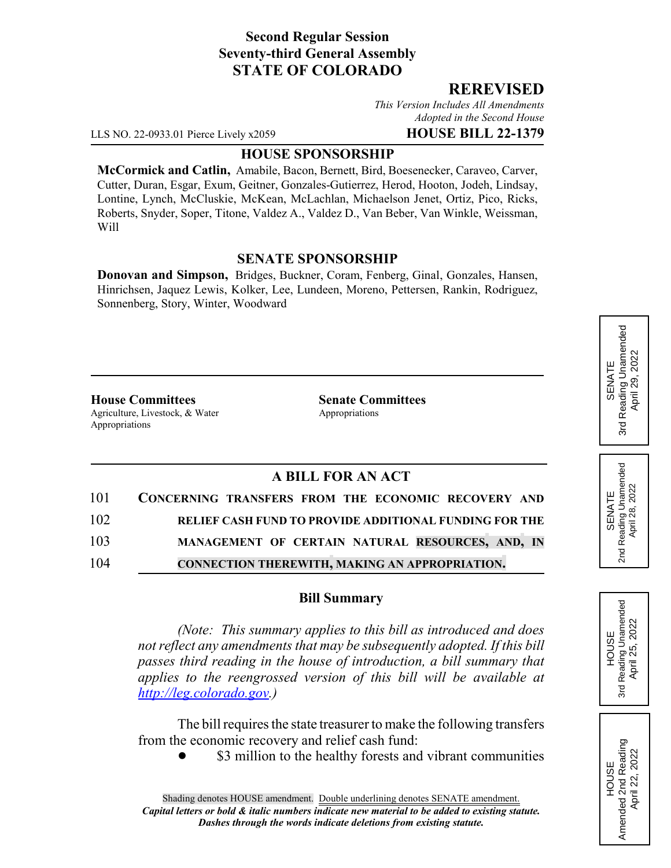## **Second Regular Session Seventy-third General Assembly STATE OF COLORADO**

### **REREVISED**

*This Version Includes All Amendments Adopted in the Second House*

LLS NO. 22-0933.01 Pierce Lively x2059 **HOUSE BILL 22-1379**

#### **HOUSE SPONSORSHIP**

**McCormick and Catlin,** Amabile, Bacon, Bernett, Bird, Boesenecker, Caraveo, Carver, Cutter, Duran, Esgar, Exum, Geitner, Gonzales-Gutierrez, Herod, Hooton, Jodeh, Lindsay, Lontine, Lynch, McCluskie, McKean, McLachlan, Michaelson Jenet, Ortiz, Pico, Ricks, Roberts, Snyder, Soper, Titone, Valdez A., Valdez D., Van Beber, Van Winkle, Weissman, Will

#### **SENATE SPONSORSHIP**

**Donovan and Simpson,** Bridges, Buckner, Coram, Fenberg, Ginal, Gonzales, Hansen, Hinrichsen, Jaquez Lewis, Kolker, Lee, Lundeen, Moreno, Pettersen, Rankin, Rodriguez, Sonnenberg, Story, Winter, Woodward

**House Committees Senate Committees** Agriculture, Livestock, & Water Appropriations Appropriations

## **A BILL FOR AN ACT**

|     | 101 CONCERNING TRANSFERS FROM THE ECONOMIC RECOVERY AND |
|-----|---------------------------------------------------------|
| 102 | RELIEF CASH FUND TO PROVIDE ADDITIONAL FUNDING FOR THE  |
| 103 | MANAGEMENT OF CERTAIN NATURAL RESOURCES, AND, IN        |
| 104 | <b>CONNECTION THEREWITH, MAKING AN APPROPRIATION.</b>   |

#### **Bill Summary**

*(Note: This summary applies to this bill as introduced and does not reflect any amendments that may be subsequently adopted. If this bill passes third reading in the house of introduction, a bill summary that applies to the reengrossed version of this bill will be available at http://leg.colorado.gov.)*

The bill requires the state treasurer to make the following transfers from the economic recovery and relief cash fund:

\$3 million to the healthy forests and vibrant communities

# Reading Unamended 3rd Reading Unamended April 29, 2022 April 29, 2022 SENATE 3rd

2nd Reading Unamended<br>April 28, 2022 2nd Reading Unamended April 28, 2022 SENATE



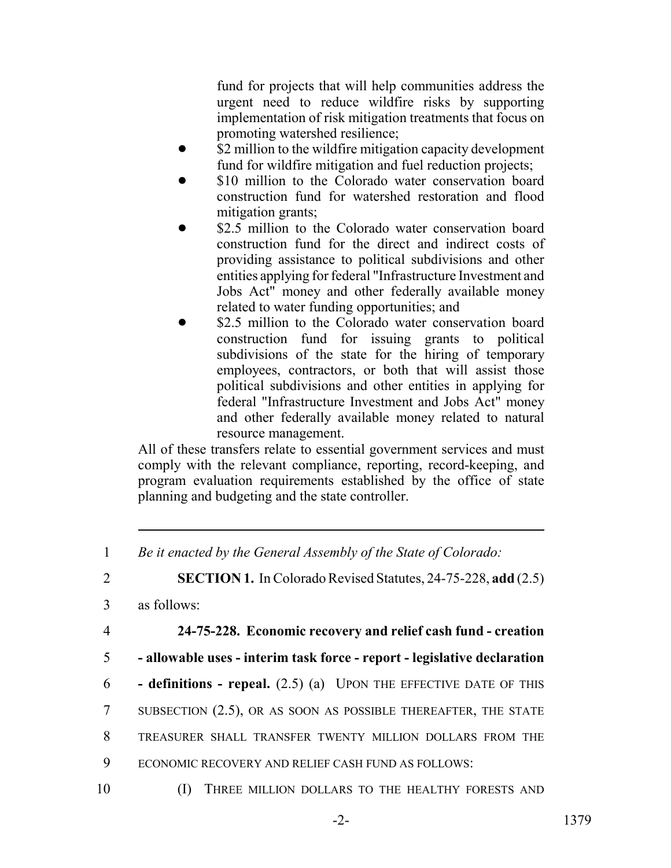fund for projects that will help communities address the urgent need to reduce wildfire risks by supporting implementation of risk mitigation treatments that focus on promoting watershed resilience;

- \$2 million to the wildfire mitigation capacity development fund for wildfire mitigation and fuel reduction projects;
- \$10 million to the Colorado water conservation board construction fund for watershed restoration and flood mitigation grants;
- \$2.5 million to the Colorado water conservation board construction fund for the direct and indirect costs of providing assistance to political subdivisions and other entities applying for federal "Infrastructure Investment and Jobs Act" money and other federally available money related to water funding opportunities; and
	- \$2.5 million to the Colorado water conservation board construction fund for issuing grants to political subdivisions of the state for the hiring of temporary employees, contractors, or both that will assist those political subdivisions and other entities in applying for federal "Infrastructure Investment and Jobs Act" money and other federally available money related to natural resource management.

All of these transfers relate to essential government services and must comply with the relevant compliance, reporting, record-keeping, and program evaluation requirements established by the office of state planning and budgeting and the state controller.

2 **SECTION 1.** In Colorado Revised Statutes, 24-75-228, **add** (2.5)

- 3 as follows:
- 

4 **24-75-228. Economic recovery and relief cash fund - creation**

- 5  **allowable uses interim task force report legislative declaration**
- 6  **definitions repeal.** (2.5) (a) UPON THE EFFECTIVE DATE OF THIS
- 7 SUBSECTION (2.5), OR AS SOON AS POSSIBLE THEREAFTER, THE STATE
- 8 TREASURER SHALL TRANSFER TWENTY MILLION DOLLARS FROM THE
- 9 ECONOMIC RECOVERY AND RELIEF CASH FUND AS FOLLOWS:
- 

<sup>1</sup> *Be it enacted by the General Assembly of the State of Colorado:*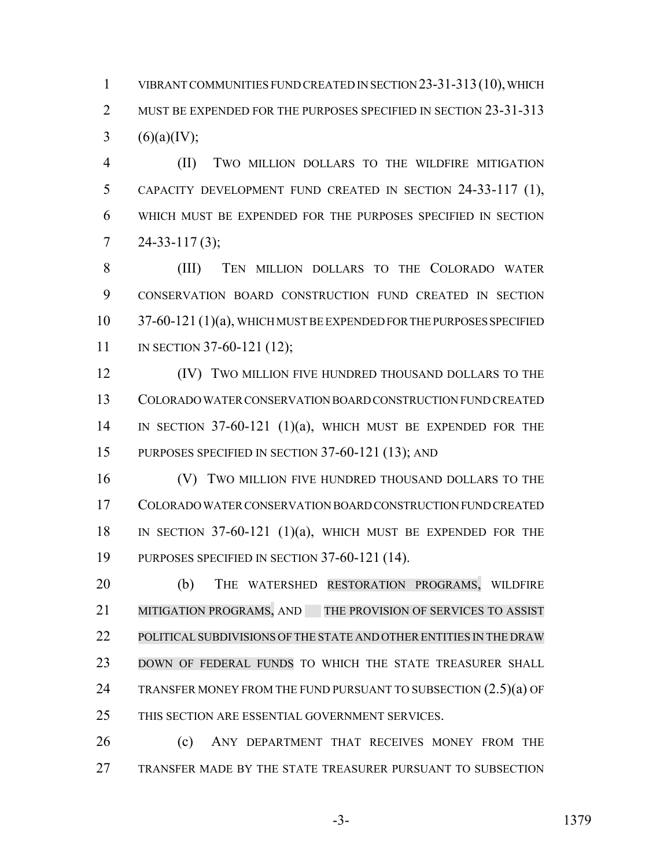VIBRANT COMMUNITIES FUND CREATED IN SECTION 23-31-313(10), WHICH 2 MUST BE EXPENDED FOR THE PURPOSES SPECIFIED IN SECTION 23-31-313 3 (6)(a)(IV);

 (II) TWO MILLION DOLLARS TO THE WILDFIRE MITIGATION CAPACITY DEVELOPMENT FUND CREATED IN SECTION 24-33-117 (1), WHICH MUST BE EXPENDED FOR THE PURPOSES SPECIFIED IN SECTION  $7 \quad 24 - 33 - 117(3);$ 

 (III) TEN MILLION DOLLARS TO THE COLORADO WATER CONSERVATION BOARD CONSTRUCTION FUND CREATED IN SECTION 10 37-60-121 (1)(a), WHICH MUST BE EXPENDED FOR THE PURPOSES SPECIFIED 11 IN SECTION 37-60-121 (12);

**IV)** TWO MILLION FIVE HUNDRED THOUSAND DOLLARS TO THE COLORADO WATER CONSERVATION BOARD CONSTRUCTION FUND CREATED IN SECTION 37-60-121 (1)(a), WHICH MUST BE EXPENDED FOR THE PURPOSES SPECIFIED IN SECTION 37-60-121 (13); AND

**(V)** TWO MILLION FIVE HUNDRED THOUSAND DOLLARS TO THE COLORADO WATER CONSERVATION BOARD CONSTRUCTION FUND CREATED IN SECTION 37-60-121 (1)(a), WHICH MUST BE EXPENDED FOR THE PURPOSES SPECIFIED IN SECTION 37-60-121 (14).

 (b) THE WATERSHED RESTORATION PROGRAMS, WILDFIRE 21 MITIGATION PROGRAMS, AND THE PROVISION OF SERVICES TO ASSIST POLITICALSUBDIVISIONS OF THE STATE AND OTHERENTITIES IN THE DRAW DOWN OF FEDERAL FUNDS TO WHICH THE STATE TREASURER SHALL 24 TRANSFER MONEY FROM THE FUND PURSUANT TO SUBSECTION  $(2.5)(a)$  OF THIS SECTION ARE ESSENTIAL GOVERNMENT SERVICES.

 (c) ANY DEPARTMENT THAT RECEIVES MONEY FROM THE TRANSFER MADE BY THE STATE TREASURER PURSUANT TO SUBSECTION

-3- 1379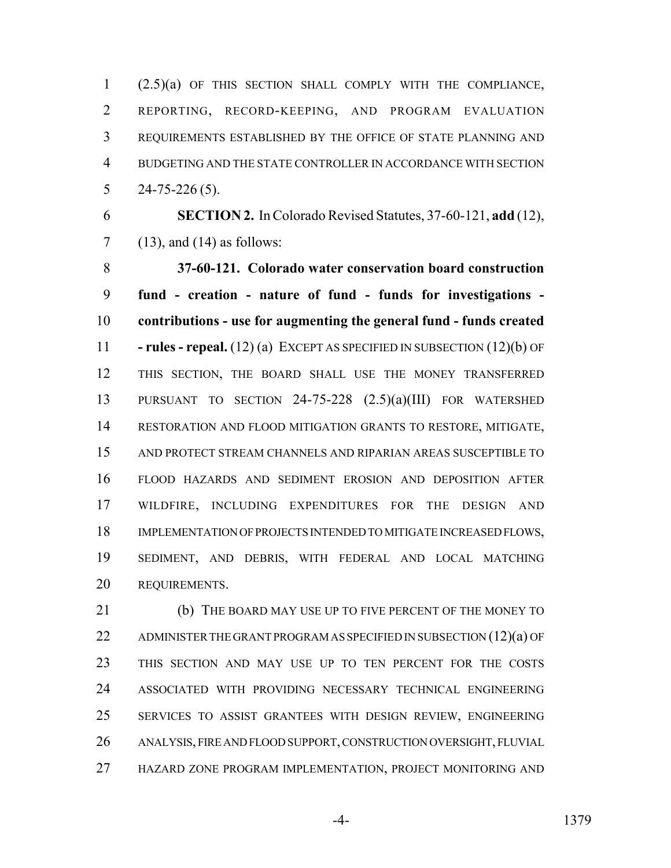(2.5)(a) OF THIS SECTION SHALL COMPLY WITH THE COMPLIANCE, REPORTING, RECORD-KEEPING, AND PROGRAM EVALUATION REQUIREMENTS ESTABLISHED BY THE OFFICE OF STATE PLANNING AND BUDGETING AND THE STATE CONTROLLER IN ACCORDANCE WITH SECTION  $5 \qquad 24-75-226(5).$ 

 **SECTION 2.** In Colorado Revised Statutes, 37-60-121, **add** (12), (13), and (14) as follows:

 **37-60-121. Colorado water conservation board construction fund - creation - nature of fund - funds for investigations - contributions - use for augmenting the general fund - funds created - rules - repeal.** (12) (a) EXCEPT AS SPECIFIED IN SUBSECTION (12)(b) OF THIS SECTION, THE BOARD SHALL USE THE MONEY TRANSFERRED PURSUANT TO SECTION 24-75-228 (2.5)(a)(III) FOR WATERSHED RESTORATION AND FLOOD MITIGATION GRANTS TO RESTORE, MITIGATE, AND PROTECT STREAM CHANNELS AND RIPARIAN AREAS SUSCEPTIBLE TO FLOOD HAZARDS AND SEDIMENT EROSION AND DEPOSITION AFTER WILDFIRE, INCLUDING EXPENDITURES FOR THE DESIGN AND IMPLEMENTATION OF PROJECTS INTENDED TO MITIGATE INCREASED FLOWS, SEDIMENT, AND DEBRIS, WITH FEDERAL AND LOCAL MATCHING REQUIREMENTS.

 (b) THE BOARD MAY USE UP TO FIVE PERCENT OF THE MONEY TO 22 ADMINISTER THE GRANT PROGRAM AS SPECIFIED IN SUBSECTION (12)(a) OF THIS SECTION AND MAY USE UP TO TEN PERCENT FOR THE COSTS ASSOCIATED WITH PROVIDING NECESSARY TECHNICAL ENGINEERING SERVICES TO ASSIST GRANTEES WITH DESIGN REVIEW, ENGINEERING ANALYSIS, FIRE AND FLOOD SUPPORT, CONSTRUCTION OVERSIGHT, FLUVIAL HAZARD ZONE PROGRAM IMPLEMENTATION, PROJECT MONITORING AND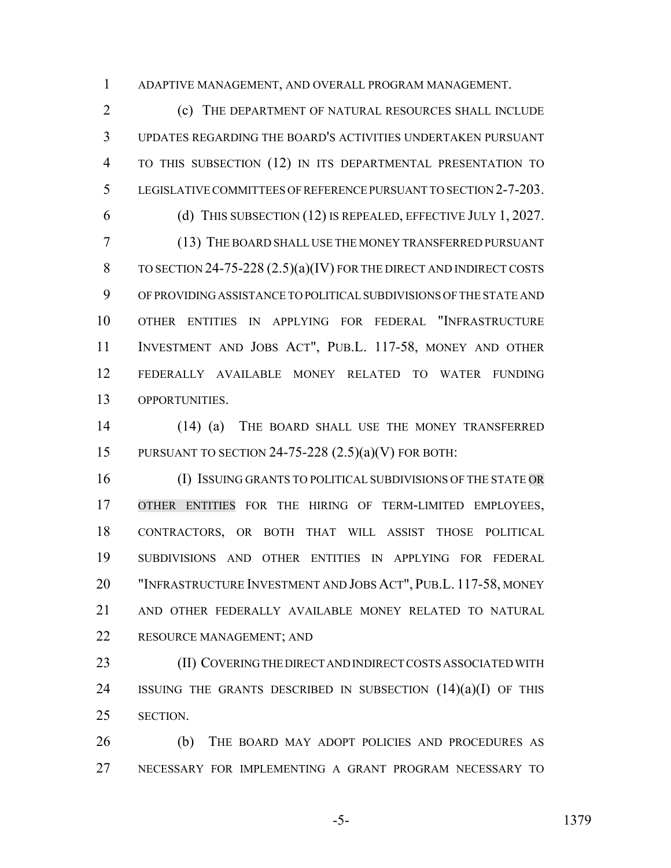ADAPTIVE MANAGEMENT, AND OVERALL PROGRAM MANAGEMENT.

 (c) THE DEPARTMENT OF NATURAL RESOURCES SHALL INCLUDE UPDATES REGARDING THE BOARD'S ACTIVITIES UNDERTAKEN PURSUANT TO THIS SUBSECTION (12) IN ITS DEPARTMENTAL PRESENTATION TO LEGISLATIVE COMMITTEES OF REFERENCE PURSUANT TO SECTION 2-7-203. (d) THIS SUBSECTION (12) IS REPEALED, EFFECTIVE JULY 1, 2027. (13) THE BOARD SHALL USE THE MONEY TRANSFERRED PURSUANT TO SECTION 24-75-228 (2.5)(a)(IV) FOR THE DIRECT AND INDIRECT COSTS OF PROVIDING ASSISTANCE TO POLITICAL SUBDIVISIONS OF THE STATE AND OTHER ENTITIES IN APPLYING FOR FEDERAL "INFRASTRUCTURE INVESTMENT AND JOBS ACT", PUB.L. 117-58, MONEY AND OTHER

 FEDERALLY AVAILABLE MONEY RELATED TO WATER FUNDING OPPORTUNITIES.

 (14) (a) THE BOARD SHALL USE THE MONEY TRANSFERRED PURSUANT TO SECTION 24-75-228 (2.5)(a)(V) FOR BOTH:

 (I) ISSUING GRANTS TO POLITICAL SUBDIVISIONS OF THE STATE OR OTHER ENTITIES FOR THE HIRING OF TERM-LIMITED EMPLOYEES, CONTRACTORS, OR BOTH THAT WILL ASSIST THOSE POLITICAL SUBDIVISIONS AND OTHER ENTITIES IN APPLYING FOR FEDERAL "INFRASTRUCTURE INVESTMENT AND JOBS ACT", PUB.L. 117-58, MONEY AND OTHER FEDERALLY AVAILABLE MONEY RELATED TO NATURAL RESOURCE MANAGEMENT; AND

 (II) COVERING THE DIRECT AND INDIRECT COSTS ASSOCIATED WITH 24 ISSUING THE GRANTS DESCRIBED IN SUBSECTION  $(14)(a)(I)$  of this SECTION.

 (b) THE BOARD MAY ADOPT POLICIES AND PROCEDURES AS NECESSARY FOR IMPLEMENTING A GRANT PROGRAM NECESSARY TO

-5- 1379